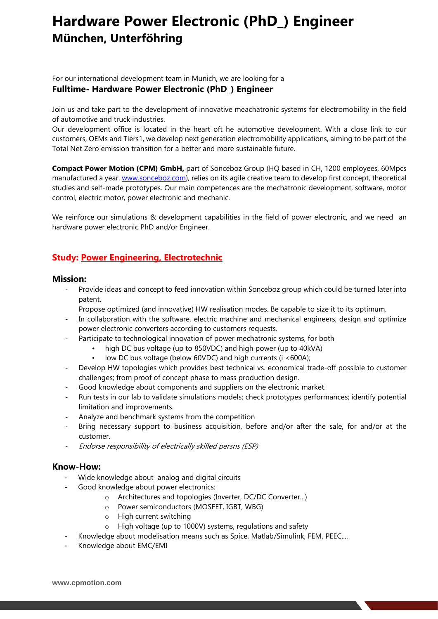# **Hardware Power Electronic (PhD\_) Engineer München, Unterföhring**

For our international development team in Munich, we are looking for a **Fulltime- Hardware Power Electronic (PhD\_) Engineer**

Join us and take part to the development of innovative meachatronic systems for electromobility in the field of automotive and truck industries.

Our development office is located in the heart oft he automotive development. With a close link to our customers, OEMs and Tiers1, we develop next generation electromobility applications, aiming to be part of the Total Net Zero emission transition for a better and more sustainable future.

**Compact Power Motion (CPM) GmbH,** part of Sonceboz Group (HQ based in CH, 1200 employees, 60Mpcs manufactured a year. [www.sonceboz.com\)](http://www.sonceboz.com/), relies on its agile creative team to develop first concept, theoretical studies and self-made prototypes. Our main competences are the mechatronic development, software, motor control, electric motor, power electronic and mechanic.

We reinforce our simulations & development capabilities in the field of power electronic, and we need an hardware power electronic PhD and/or Engineer.

## **Study: Power Engineering, Electrotechnic**

### **Mission:**

- Provide ideas and concept to feed innovation within Sonceboz group which could be turned later into patent.
	- Propose optimized (and innovative) HW realisation modes. Be capable to size it to its optimum.
- In collaboration with the software, electric machine and mechanical engineers, design and optimize power electronic converters according to customers requests.
- Participate to technological innovation of power mechatronic systems, for both
	- high DC bus voltage (up to 850VDC) and high power (up to 40kVA)
		- low DC bus voltage (below 60VDC) and high currents (i <600A);
- Develop HW topologies which provides best technical vs. economical trade-off possible to customer challenges; from proof of concept phase to mass production design.
- Good knowledge about components and suppliers on the electronic market.
- Run tests in our lab to validate simulations models; check prototypes performances; identify potential limitation and improvements.
- Analyze and benchmark systems from the competition
- Bring necessary support to business acquisition, before and/or after the sale, for and/or at the customer.
- Endorse responsibility of electrically skilled persns (ESP)

### **Know-How:**

- Wide knowledge about analog and digital circuits
- Good knowledge about power electronics:
	- o Architectures and topologies (Inverter, DC/DC Converter...)
	- o Power semiconductors (MOSFET, IGBT, WBG)
	- o High current switching
	- o High voltage (up to 1000V) systems, regulations and safety
- Knowledge about modelisation means such as Spice, Matlab/Simulink, FEM, PEEC....
- Knowledge about EMC/EMI